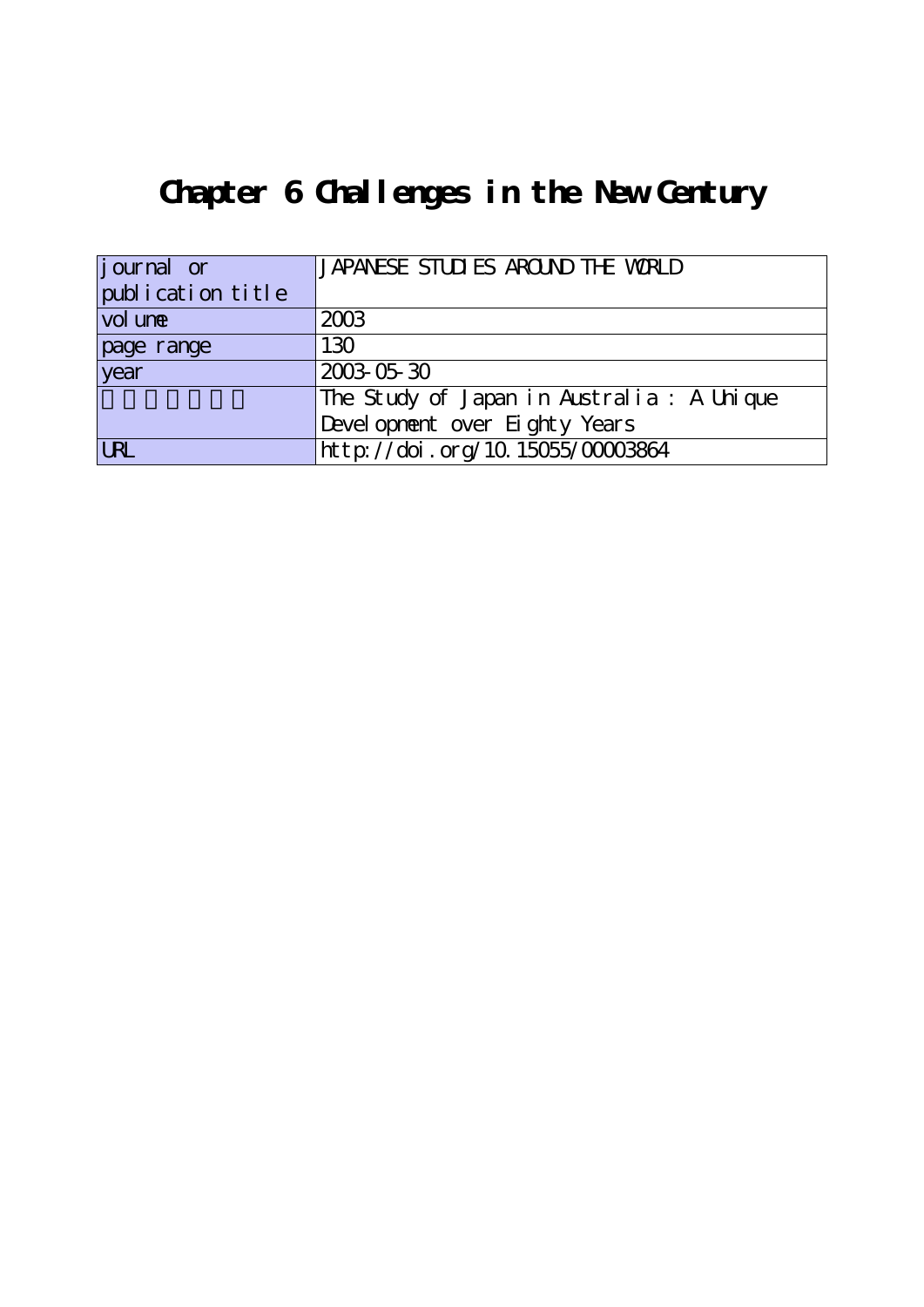## **Chapter 6 Challenges in the New Century**

| journal or        | JAPANESE STUDIES AROUND THE WORLD          |
|-------------------|--------------------------------------------|
| publication title |                                            |
| vol une           | 2003                                       |
| page range        | 130                                        |
| vear              | 2003-05-30                                 |
|                   | The Study of Japan in Australia : A Unique |
|                   | Devel opnent over Eighty Years             |
| <b>LRL</b>        | http://doi.org/10.15055/00003864           |